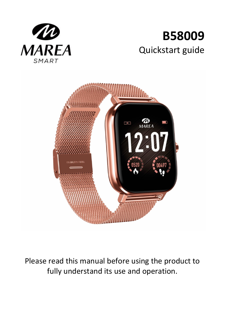

# **B58009** Quickstart guide



Please read this manual before using the product to fully understand its use and operation.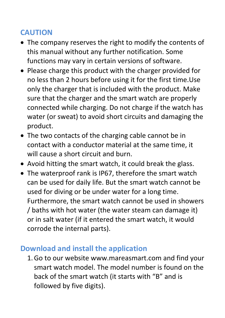# **CAUTION**

- The company reserves the right to modify the contents of this manual without any further notification. Some functions may vary in certain versions of software.
- Please charge this product with the charger provided for no less than 2 hours before using it for the first time.Use only the charger that is included with the product. Make sure that the charger and the smart watch are properly connected while charging. Do not charge if the watch has water (or sweat) to avoid short circuits and damaging the product.
- The two contacts of the charging cable cannot be in contact with a conductor material at the same time, it will cause a short circuit and burn.
- Avoid hitting the smart watch, it could break the glass.
- The waterproof rank is IP67, therefore the smart watch can be used for daily life. But the smart watch cannot be used for diving or be under water for a long time. Furthermore, the smart watch cannot be used in showers / baths with hot water (the water steam can damage it) or in salt water (if it entered the smart watch, it would corrode the internal parts).

# **Download and install the application**

1.Go to our website www.mareasmart.com and find your smart watch model. The model number is found on the back of the smart watch (it starts with "B" and is followed by five digits).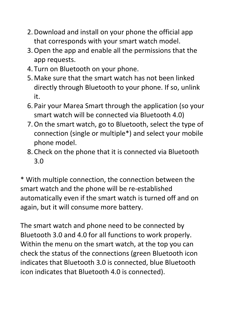- 2.Download and install on your phone the official app that corresponds with your smart watch model.
- 3.Open the app and enable all the permissions that the app requests.
- 4. Turn on Bluetooth on your phone.
- 5.Make sure that the smart watch has not been linked directly through Bluetooth to your phone. If so, unlink it.
- 6. Pair your Marea Smart through the application (so your smart watch will be connected via Bluetooth 4.0)
- 7.On the smart watch, go to Bluetooth, select the type of connection (single or multiple\*) and select your mobile phone model.
- 8. Check on the phone that it is connected via Bluetooth 3.0

\* With multiple connection, the connection between the smart watch and the phone will be re-established automatically even if the smart watch is turned off and on again, but it will consume more battery.

The smart watch and phone need to be connected by Bluetooth 3.0 and 4.0 for all functions to work properly. Within the menu on the smart watch, at the top you can check the status of the connections (green Bluetooth icon indicates that Bluetooth 3.0 is connected, blue Bluetooth icon indicates that Bluetooth 4.0 is connected).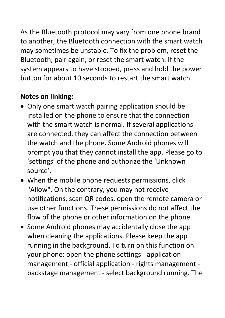As the Bluetooth protocol may vary from one phone brand to another, the Bluetooth connection with the smart watch may sometimes be unstable. To fix the problem, reset the Bluetooth, pair again, or reset the smart watch. If the system appears to have stopped, press and hold the power button for about 10 seconds to restart the smart watch.

# **Notes on linking:**

- Only one smart watch pairing application should be installed on the phone to ensure that the connection with the smart watch is normal. If several applications are connected, they can affect the connection between the watch and the phone. Some Android phones will prompt you that they cannot install the app. Please go to 'settings' of the phone and authorize the 'Unknown source'.
- When the mobile phone requests permissions, click "Allow". On the contrary, you may not receive notifications, scan QR codes, open the remote camera or use other functions. These permissions do not affect the flow of the phone or other information on the phone.
- Some Android phones may accidentally close the app when cleaning the applications. Please keep the app running in the background. To turn on this function on your phone: open the phone settings - application management - official application - rights management backstage management - select background running. The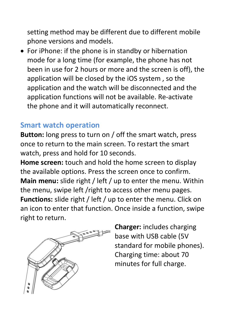setting method may be different due to different mobile phone versions and models.

• For iPhone: if the phone is in standby or hibernation mode for a long time (for example, the phone has not been in use for 2 hours or more and the screen is off), the application will be closed by the iOS system , so the application and the watch will be disconnected and the application functions will not be available. Re-activate the phone and it will automatically reconnect.

# **Smart watch operation**

**Button:** long press to turn on / off the smart watch, press once to return to the main screen. To restart the smart watch, press and hold for 10 seconds.

**Home screen:** touch and hold the home screen to display the available options. Press the screen once to confirm. **Main menu:** slide right / left / up to enter the menu. Within the menu, swipe left /right to access other menu pages. **Functions:** slide right / left / up to enter the menu. Click on an icon to enter that function. Once inside a function, swipe right to return.



**Charger:** includes charging base with USB cable (5V standard for mobile phones). Charging time: about 70 minutes for full charge.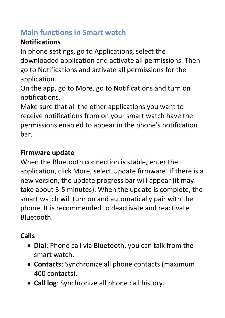# **Main functions in Smart watch**

# **Notifications**

In phone settings, go to Applications, select the downloaded application and activate all permissions. Then go to Notifications and activate all permissions for the application.

On the app, go to More, go to Notifications and turn on notifications.

Make sure that all the other applications you want to receive notifications from on your smart watch have the permissions enabled to appear in the phone's notification bar.

# **Firmware update**

When the Bluetooth connection is stable, enter the application, click More, select Update firmware. If there is a new version, the update progress bar will appear (it may take about 3-5 minutes). When the update is complete, the smart watch will turn on and automatically pair with the phone. It is recommended to deactivate and reactivate Bluetooth.

# **Calls**

- **Dial**: Phone call via Bluetooth, you can talk from the smart watch.
- **Contacts**: Synchronize all phone contacts (maximum 400 contacts).
- **Call log**: Synchronize all phone call history.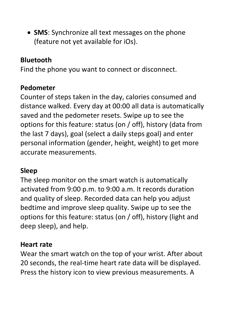• **SMS**: Synchronize all text messages on the phone (feature not yet available for iOs).

### **Bluetooth**

Find the phone you want to connect or disconnect.

#### **Pedometer**

Counter of steps taken in the day, calories consumed and distance walked. Every day at 00:00 all data is automatically saved and the pedometer resets. Swipe up to see the options for this feature: status (on / off), history (data from the last 7 days), goal (select a daily steps goal) and enter personal information (gender, height, weight) to get more accurate measurements.

### **Sleep**

The sleep monitor on the smart watch is automatically activated from 9:00 p.m. to 9:00 a.m. It records duration and quality of sleep. Recorded data can help you adjust bedtime and improve sleep quality. Swipe up to see the options for this feature: status (on / off), history (light and deep sleep), and help.

#### **Heart rate**

Wear the smart watch on the top of your wrist. After about 20 seconds, the real-time heart rate data will be displayed. Press the history icon to view previous measurements. A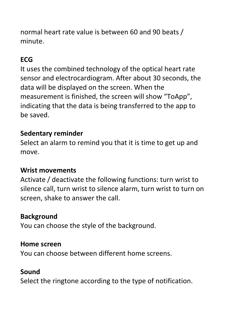normal heart rate value is between 60 and 90 beats / minute.

# **ECG**

It uses the combined technology of the optical heart rate sensor and electrocardiogram. After about 30 seconds, the data will be displayed on the screen. When the measurement is finished, the screen will show "ToApp", indicating that the data is being transferred to the app to be saved.

### **Sedentary reminder**

Select an alarm to remind you that it is time to get up and move.

# **Wrist movements**

Activate / deactivate the following functions: turn wrist to silence call, turn wrist to silence alarm, turn wrist to turn on screen, shake to answer the call.

# **Background**

You can choose the style of the background.

### **Home screen**

You can choose between different home screens.

# **Sound**

Select the ringtone according to the type of notification.